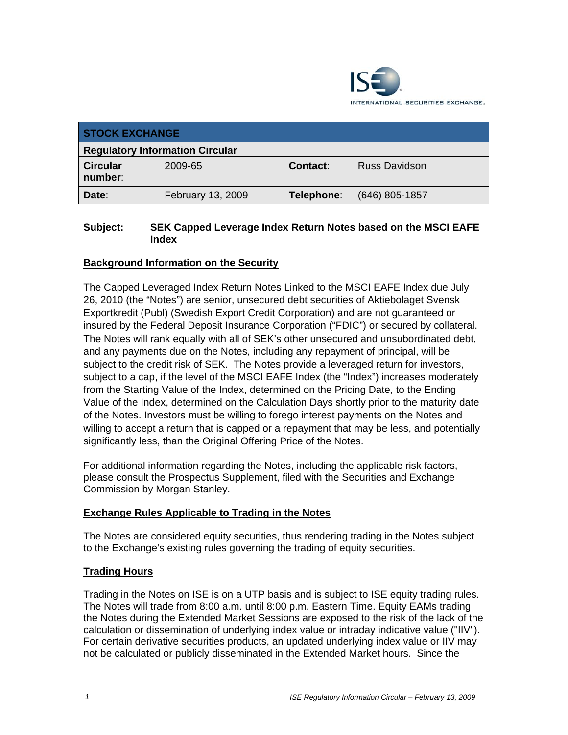

| <b>STOCK EXCHANGE</b>                  |                   |            |                      |
|----------------------------------------|-------------------|------------|----------------------|
| <b>Regulatory Information Circular</b> |                   |            |                      |
| <b>Circular</b><br>number:             | 2009-65           | Contact:   | <b>Russ Davidson</b> |
| Date:                                  | February 13, 2009 | Telephone: | $(646)$ 805-1857     |

### **Subject: SEK Capped Leverage Index Return Notes based on the MSCI EAFE Index**

## **Background Information on the Security**

The Capped Leveraged Index Return Notes Linked to the MSCI EAFE Index due July 26, 2010 (the "Notes") are senior, unsecured debt securities of Aktiebolaget Svensk Exportkredit (Publ) (Swedish Export Credit Corporation) and are not guaranteed or insured by the Federal Deposit Insurance Corporation ("FDIC") or secured by collateral. The Notes will rank equally with all of SEK's other unsecured and unsubordinated debt, and any payments due on the Notes, including any repayment of principal, will be subject to the credit risk of SEK. The Notes provide a leveraged return for investors, subject to a cap, if the level of the MSCI EAFE Index (the "Index") increases moderately from the Starting Value of the Index, determined on the Pricing Date, to the Ending Value of the Index, determined on the Calculation Days shortly prior to the maturity date of the Notes. Investors must be willing to forego interest payments on the Notes and willing to accept a return that is capped or a repayment that may be less, and potentially significantly less, than the Original Offering Price of the Notes.

For additional information regarding the Notes, including the applicable risk factors, please consult the Prospectus Supplement, filed with the Securities and Exchange Commission by Morgan Stanley.

#### **Exchange Rules Applicable to Trading in the Notes**

The Notes are considered equity securities, thus rendering trading in the Notes subject to the Exchange's existing rules governing the trading of equity securities.

#### **Trading Hours**

Trading in the Notes on ISE is on a UTP basis and is subject to ISE equity trading rules. The Notes will trade from 8:00 a.m. until 8:00 p.m. Eastern Time. Equity EAMs trading the Notes during the Extended Market Sessions are exposed to the risk of the lack of the calculation or dissemination of underlying index value or intraday indicative value ("IIV"). For certain derivative securities products, an updated underlying index value or IIV may not be calculated or publicly disseminated in the Extended Market hours. Since the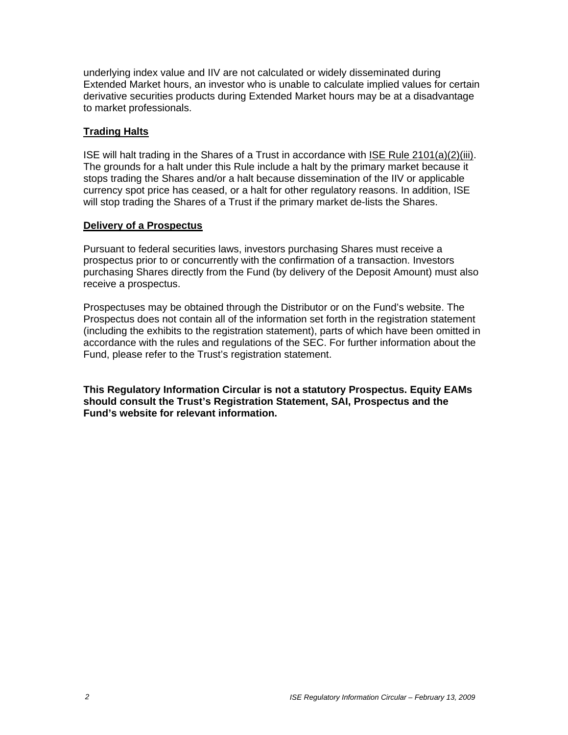underlying index value and IIV are not calculated or widely disseminated during Extended Market hours, an investor who is unable to calculate implied values for certain derivative securities products during Extended Market hours may be at a disadvantage to market professionals.

#### **Trading Halts**

ISE will halt trading in the Shares of a Trust in accordance with ISE Rule 2101(a)(2)(iii). The grounds for a halt under this Rule include a halt by the primary market because it stops trading the Shares and/or a halt because dissemination of the IIV or applicable currency spot price has ceased, or a halt for other regulatory reasons. In addition, ISE will stop trading the Shares of a Trust if the primary market de-lists the Shares.

#### **Delivery of a Prospectus**

Pursuant to federal securities laws, investors purchasing Shares must receive a prospectus prior to or concurrently with the confirmation of a transaction. Investors purchasing Shares directly from the Fund (by delivery of the Deposit Amount) must also receive a prospectus.

Prospectuses may be obtained through the Distributor or on the Fund's website. The Prospectus does not contain all of the information set forth in the registration statement (including the exhibits to the registration statement), parts of which have been omitted in accordance with the rules and regulations of the SEC. For further information about the Fund, please refer to the Trust's registration statement.

**This Regulatory Information Circular is not a statutory Prospectus. Equity EAMs should consult the Trust's Registration Statement, SAI, Prospectus and the Fund's website for relevant information.**